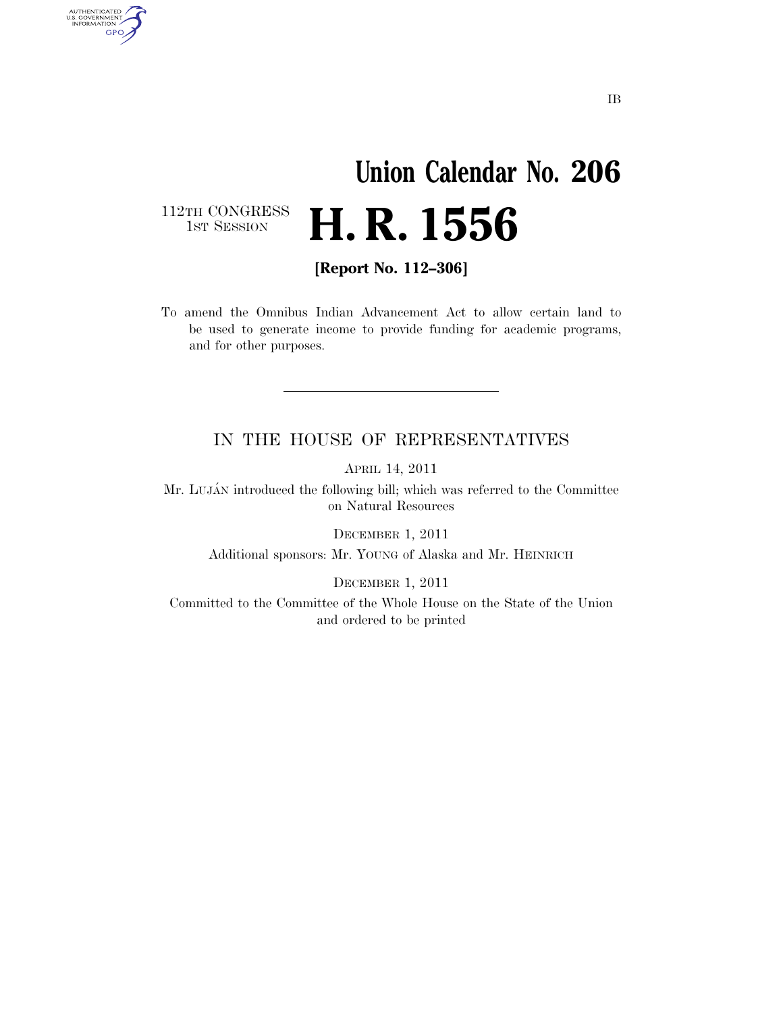## **Union Calendar No. 206 H. R. 1556**

112TH CONGRESS<br>1st Session

AUTHENTICATED<br>U.S. GOVERNMENT<br>INFORMATION **GPO** 

**[Report No. 112–306]** 

To amend the Omnibus Indian Advancement Act to allow certain land to be used to generate income to provide funding for academic programs, and for other purposes.

## IN THE HOUSE OF REPRESENTATIVES

APRIL 14, 2011

Mr. LUJÁN introduced the following bill; which was referred to the Committee on Natural Resources

DECEMBER 1, 2011

Additional sponsors: Mr. YOUNG of Alaska and Mr. HEINRICH

DECEMBER 1, 2011

Committed to the Committee of the Whole House on the State of the Union and ordered to be printed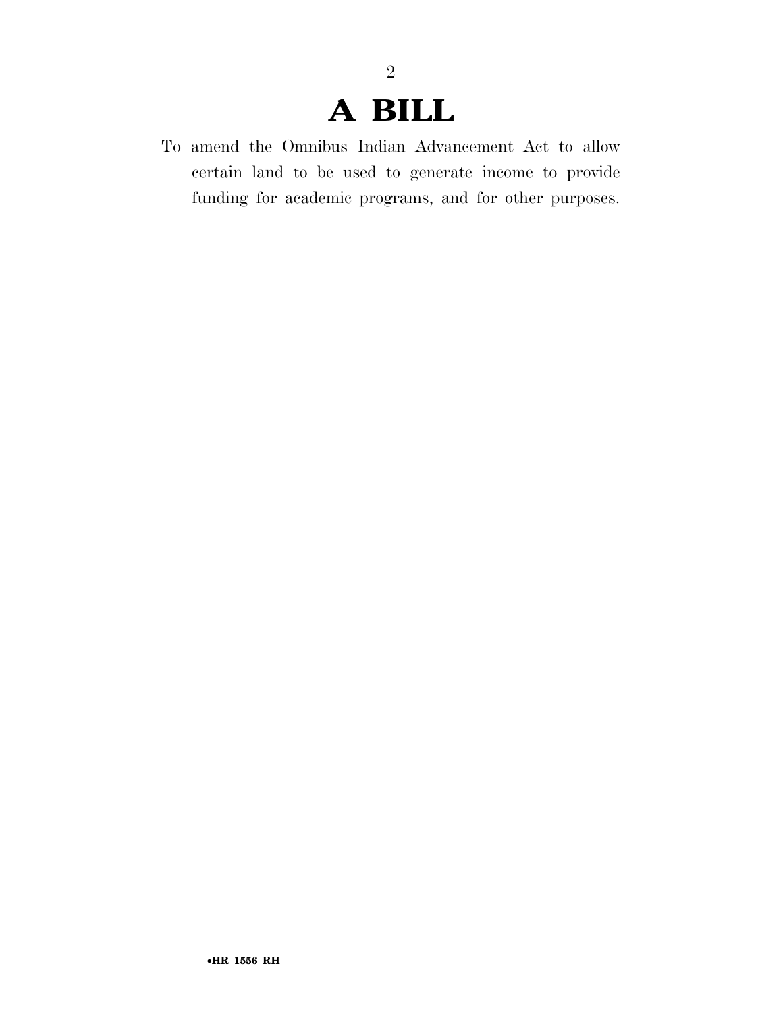## **A BILL**

2

To amend the Omnibus Indian Advancement Act to allow certain land to be used to generate income to provide funding for academic programs, and for other purposes.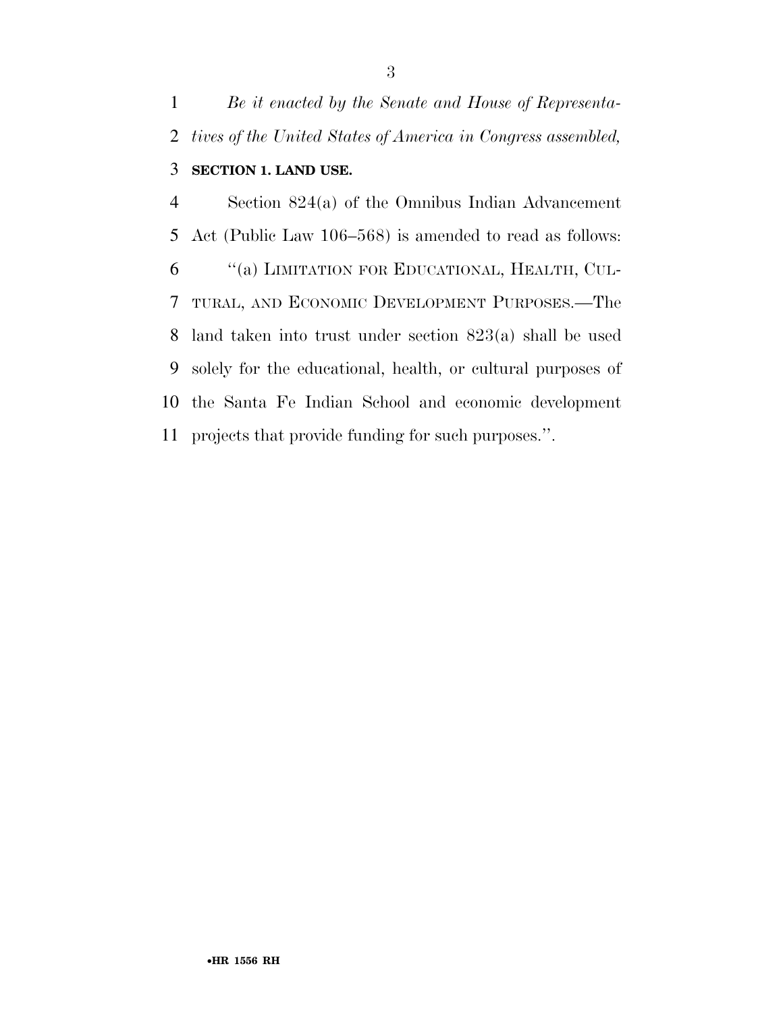*Be it enacted by the Senate and House of Representa- tives of the United States of America in Congress assembled,*  **SECTION 1. LAND USE.** 

 Section 824(a) of the Omnibus Indian Advancement Act (Public Law 106–568) is amended to read as follows: ''(a) LIMITATION FOR EDUCATIONAL, HEALTH, CUL- TURAL, AND ECONOMIC DEVELOPMENT PURPOSES.—The land taken into trust under section 823(a) shall be used solely for the educational, health, or cultural purposes of the Santa Fe Indian School and economic development projects that provide funding for such purposes.''.